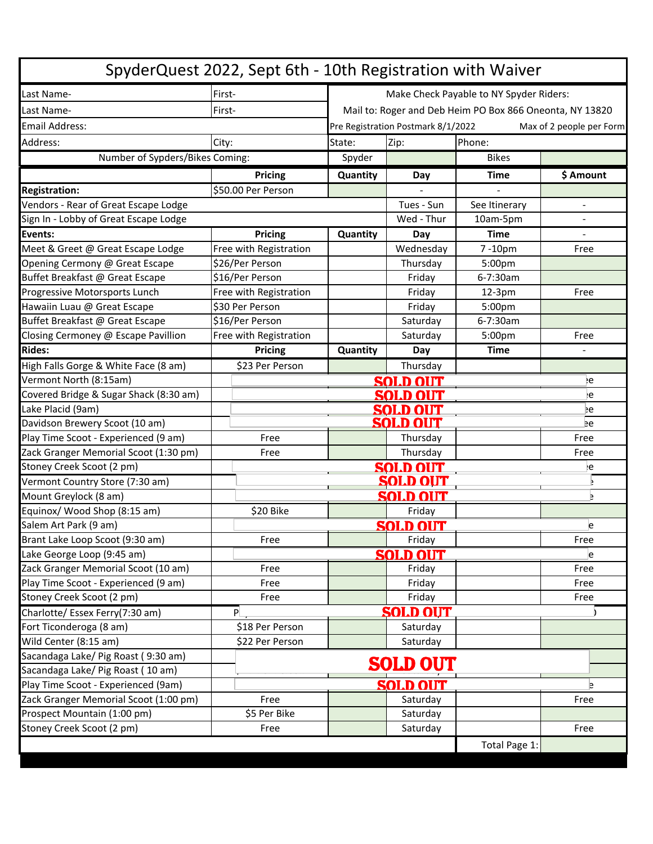| SpyderQuest 2022, Sept 6th - 10th Registration with Waiver           |                        |                                                                |                 |                    |           |  |  |  |
|----------------------------------------------------------------------|------------------------|----------------------------------------------------------------|-----------------|--------------------|-----------|--|--|--|
| Last Name-                                                           | First-                 | Make Check Payable to NY Spyder Riders:                        |                 |                    |           |  |  |  |
| Last Name-                                                           | First-                 | Mail to: Roger and Deb Heim PO Box 866 Oneonta, NY 13820       |                 |                    |           |  |  |  |
| Email Address:                                                       |                        | Pre Registration Postmark 8/1/2022<br>Max of 2 people per Form |                 |                    |           |  |  |  |
| Address:                                                             | City:                  | State:                                                         | Zip:<br>Phone:  |                    |           |  |  |  |
| Number of Sypders/Bikes Coming:                                      |                        | Spyder                                                         |                 | <b>Bikes</b>       |           |  |  |  |
|                                                                      | <b>Pricing</b>         | Quantity                                                       | Day             | <b>Time</b>        | \$ Amount |  |  |  |
| <b>Registration:</b>                                                 | \$50.00 Per Person     |                                                                |                 |                    |           |  |  |  |
| Vendors - Rear of Great Escape Lodge                                 |                        |                                                                | Tues - Sun      | See Itinerary      |           |  |  |  |
| Sign In - Lobby of Great Escape Lodge                                |                        |                                                                | Wed - Thur      | 10am-5pm           |           |  |  |  |
| Events:                                                              | Pricing                | Quantity                                                       | Day             | <b>Time</b>        |           |  |  |  |
| Meet & Greet @ Great Escape Lodge                                    | Free with Registration |                                                                | Wednesday       | 7-10pm             | Free      |  |  |  |
| Opening Cermony @ Great Escape                                       | \$26/Per Person        |                                                                | Thursday        | 5:00 <sub>pm</sub> |           |  |  |  |
| Buffet Breakfast @ Great Escape                                      | \$16/Per Person        |                                                                | Friday          | 6-7:30am           |           |  |  |  |
| Progressive Motorsports Lunch                                        | Free with Registration |                                                                | Friday          | $12-3pm$           | Free      |  |  |  |
| Hawaiin Luau @ Great Escape                                          | \$30 Per Person        |                                                                | Friday          | 5:00pm             |           |  |  |  |
| Buffet Breakfast @ Great Escape                                      | \$16/Per Person        |                                                                | Saturday        | 6-7:30am           |           |  |  |  |
| Closing Cermoney @ Escape Pavillion                                  | Free with Registration |                                                                | Saturday        | 5:00pm             | Free      |  |  |  |
| <b>Rides:</b>                                                        | Pricing                | Quantity                                                       | Day             | <b>Time</b>        |           |  |  |  |
| High Falls Gorge & White Face (8 am)                                 | \$23 Per Person        |                                                                | Thursday        |                    |           |  |  |  |
| Vermont North (8:15am)                                               |                        |                                                                | <b>SOLD OUT</b> |                    | ١e        |  |  |  |
| Covered Bridge & Sugar Shack (8:30 am)                               |                        |                                                                | <b>SOLD OUT</b> |                    | ë         |  |  |  |
| Lake Placid (9am)                                                    |                        |                                                                | <b>SOLD OUT</b> |                    | Þе        |  |  |  |
| Davidson Brewery Scoot (10 am)                                       |                        |                                                                | <b>SOLD OUT</b> |                    | Þе        |  |  |  |
| Play Time Scoot - Experienced (9 am)                                 | Free                   |                                                                | Thursday        |                    | Free      |  |  |  |
| Zack Granger Memorial Scoot (1:30 pm)                                | Free                   |                                                                | Thursday        |                    | Free      |  |  |  |
| Stoney Creek Scoot (2 pm)                                            |                        |                                                                | <b>SOLD OUT</b> |                    | ١e        |  |  |  |
| Vermont Country Store (7:30 am)                                      |                        |                                                                | <b>SOLD OUT</b> |                    |           |  |  |  |
| Mount Greylock (8 am)                                                |                        |                                                                | <b>SOLD OUT</b> |                    | Þ         |  |  |  |
| Equinox/ Wood Shop (8:15 am)                                         | \$20 Bike              |                                                                | Friday          |                    |           |  |  |  |
| Salem Art Park (9 am)                                                |                        |                                                                | <b>SOLD OUT</b> |                    | e         |  |  |  |
| Brant Lake Loop Scoot (9:30 am)                                      | Free                   |                                                                | Friday          |                    | Free      |  |  |  |
| Lake George Loop (9:45 am)                                           |                        |                                                                | <b>SOLD OUT</b> |                    | e         |  |  |  |
| Zack Granger Memorial Scoot (10 am)                                  | Free                   |                                                                | Friday          |                    | Free      |  |  |  |
| Play Time Scoot - Experienced (9 am)                                 | Free                   |                                                                | Friday          |                    | Free      |  |  |  |
| Stoney Creek Scoot (2 pm)                                            | Free                   |                                                                | Friday          |                    | Free      |  |  |  |
| Charlotte/ Essex Ferry(7:30 am)                                      | P                      |                                                                | <b>SOLD OUT</b> |                    |           |  |  |  |
| Fort Ticonderoga (8 am)                                              | \$18 Per Person        |                                                                | Saturday        |                    |           |  |  |  |
| Wild Center (8:15 am)                                                | \$22 Per Person        |                                                                | Saturday        |                    |           |  |  |  |
| Sacandaga Lake/ Pig Roast (9:30 am)                                  |                        |                                                                | <b>SOLD OUT</b> |                    |           |  |  |  |
| Sacandaga Lake/ Pig Roast (10 am)                                    |                        |                                                                |                 |                    |           |  |  |  |
| Play Time Scoot - Experienced (9am)                                  |                        |                                                                | SOLD OUT        |                    | e         |  |  |  |
| Zack Granger Memorial Scoot (1:00 pm)<br>Prospect Mountain (1:00 pm) | Free                   |                                                                | Saturday        |                    | Free      |  |  |  |
|                                                                      | \$5 Per Bike           |                                                                | Saturday        |                    |           |  |  |  |
| Stoney Creek Scoot (2 pm)                                            | Free                   |                                                                | Saturday        |                    | Free      |  |  |  |
|                                                                      |                        |                                                                |                 | Total Page 1:      |           |  |  |  |